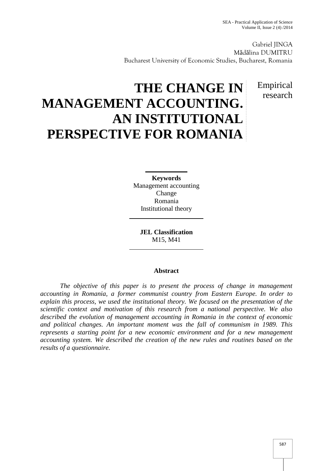Gabriel JINGA M d lina DUMITRU Bucharest University of Economic Studies, Bucharest, Romania

> Empirical research

# **THE CHANGE IN MANAGEMENT ACCOUNTING. AN INSTITUTIONAL PERSPECTIVE FOR ROMANIA**

**Keywords** Management accounting Change Romania Institutional theory

**JEL Classification** M15, M41

#### **Abstract**

*The objective of this paper is to present the process of change in management accounting in Romania, a former communist country from Eastern Europe. In order to explain this process, we used the institutional theory. We focused on the presentation of the scientific context and motivation of this research from a national perspective. We also described the evolution of management accounting in Romania in the context of economic and political changes. An important moment was the fall of communism in 1989. This represents a starting point for a new economic environment and for a new management accounting system. We described the creation of the new rules and routines based on the results of a questionnaire.*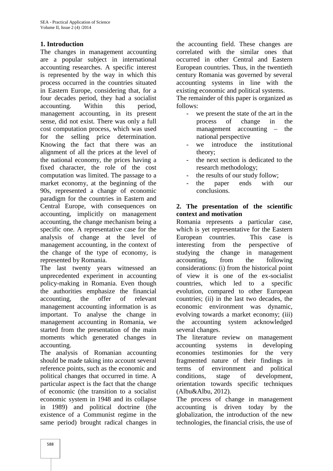## **1. Introduction**

The changes in management accounting are a popular subject in international accounting researches. A specific interest is represented by the way in which this process occurred in the countries situated in Eastern Europe, considering that, for a four decades period, they had a socialist accounting. Within this period, management accounting, in its present sense, did not exist. There was only a full cost computation process, which was used for the selling price determination. Knowing the fact that there was an alignment of all the prices at the level of the national economy, the prices having a fixed character, the role of the cost computation was limited. The passage to a market economy, at the beginning of the 90s, represented a change of economic paradigm for the countries in Eastern and Central Europe, with consequences on accounting, implicitly on management accounting, the change mechanism being a specific one. A representative case for the analysis of change at the level of management accounting, in the context of the change of the type of economy, is represented by Romania.

The last twenty years witnessed an unprecedented experiment in accounting policy-making in Romania. Even though the authorities emphasize the financial accounting, the offer of relevant management accounting information is as important. To analyse the change in management accounting in Romania, we started from the presentation of the main moments which generated changes in accounting.

The analysis of Romanian accounting economies should be made taking into account several reference points, such as the economic and political changes that occurred in time. A particular aspect is the fact that the change of economic (the transition to a socialist economic system in 1948 and its collapse in 1989) and political doctrine (the existence of a Communist regime in the same period) brought radical changes in

the accounting field. These changes are correlated with the similar ones that occurred in other Central and Eastern European countries. Thus, in the twentieth century Romania was governed by several accounting systems in line with the existing economic and political systems.

The remainder of this paper is organized as follows:

- we present the state of the art in the process of change in the management accounting – the national perspective
- we introduce the institutional theory;
- the next section is dedicated to the research methodology;
- the results of our study follow:
- the paper ends with our conclusions.

## **2. The presentation of the scientific context and motivation**

Romania represents a particular case, which is yet representative for the Eastern European countries. This case is interesting from the perspective of studying the change in management accounting, from the following considerations: (i) from the historical point of view it is one of the ex-socialist countries, which led to a specific evolution, compared to other European countries; (ii) in the last two decades, the economic environment was dynamic, evolving towards a market economy; (iii) the accounting system acknowledged several changes.

The literature review on management accounting systems in developing testimonies for the very fragmented nature of their findings in environment and political stage of development, orientation towards specific techniques (Albu&Albu, 2012).

The process of change in management accounting is driven today by the globalization, the introduction of the new technologies, the financial crisis, the use of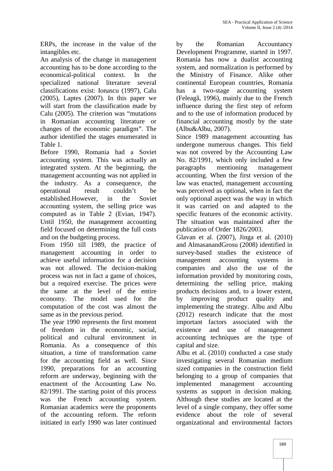ERPs, the increase in the value of the intangibles etc.

An analysis of the change in management accounting has to be done according to the economical-political context. In the specialized national literature several classifications exist: Ionascu (1997), Calu (2005), Laptes (2007). In this paper we will start from the classification made by Calu (2005). The criterion was "mutations in Romanian accounting literature or changes of the economic paradigm". The author identified the stages enumerated in Table 1.

Before 1990, Romania had a Soviet accounting system. This was actually an integrated system. At the beginning, the management accounting was not applied in the industry. As a consequence, the operational result couldn't be established.However, in the Soviet accounting system, the selling price was computed as in Table 2 (Evian, 1947). Until 1950, the management accounting field focused on determining the full costs and on the budgeting process.

From 1950 till 1989, the practice of management accounting in order to achieve useful information for a decision was not allowed. The decision-making process was not in fact a game of choices, but a required exercise. The prices were the same at the level of the entire economy. The model used for the computation of the cost was almost the same as in the previous period.

The year 1990 represents the first moment of freedom in the economic, social, political and cultural environment in Romania. As a consequence of this situation, a time of transformation came for the accounting field as well. Since 1990, preparations for an accounting reform are underway, beginning with the enactment of the Accounting Law No. 82/1991. The starting point of this process was the French accounting system. Romanian academics were the proponents of the accounting reform. The reform initiated in early 1990 was later continued

the Romanian Accountancy Development Programme, started in 1997. Romania has now a dualist accounting system, and normalization is performed by the Ministry of Finance. Alike other continental European countries, Romania a two-stage accounting system (Feleagã, 1996), mainly due to the French influence during the first step of reform and to the use of information produced by financial accounting mostly by the state (Albu&Albu, 2007).

Since 1989 management accounting has undergone numerous changes. This field was not covered by the Accounting Law No. 82/1991, which only included a few mentioning management accounting. When the first version of the law was enacted, management accounting was perceived as optional, when in fact the only optional aspect was the way in which it was carried on and adapted to the specific features of the economic activity. The situation was maintained after the publication of Order 1826/2003.

Glavan et al. (2007), Jinga et al. (2010) and AlmasanandGrosu (2008) identified in survey-based studies the existence of management accounting systems in companies and also the use of the information provided by monitoring costs, determining the selling price, making products decisions and, to a lower extent, improving product quality and implementing the strategy. Albu and Albu (2012) research indicate that the most important factors associated with the existence and use of management accounting techniques are the type of capital and size.

Albu et al. (2010) conducted a case study investigating several Romanian medium sized companies in the construction field belonging to a group of companies that implemented management accounting systems as support in decision making. Although these studies are located at the level of a single company, they offer some evidence about the role of several organizational and environmental factors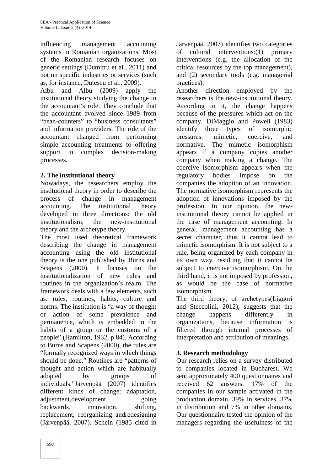influencing management accounting systems in Romanian organizations. Most of the Romanian research focuses on generic settings (Dumitru et al., 2011) and not on specific industries or services (such as, for instance, Dutescu et al., 2009).

Albu and Albu (2009) apply the institutional theory studying the change in the accountant's role. They conclude that the accountant evolved since 1989 from "bean-counters" to "business consultants" and information providers. The role of the accountant changed from performing simple accounting treatments to offering mormative. support in complex decision-making processes.

# **2. The institutional theory**

Nowadays, the researchers employ the institutional theory in order to describe the process of change in management accounting. The institutional theory developed in three directions: the old institutionalism, the new-institutional theory and the archetype theory.

The most used theoretical framework describing the change in management accounting using the old institutional theory is the one published by Burns and Scapens (2000). It focuses on the institutionalization of new rules and routines in the organization's realm. The framework deals with a few elements, such as: rules, routines, habits, culture and norms. The institution is "a way of thought or action of some prevalence and permanence, which is embedded in the habits of a group or the customs of a people" (Hamilton, 1932, p 84). According to Burns and Scapens (2000), the rules are "formally recognized ways in which things should be done." Routines are "patterns of thought and action which are habitually adopted by groups of individuals."Järvenpää (2007) identifies different kinds of change: adaptation, adjustment,development, going backwards, innovation, shifting, replacement, reorganizing andredesigning (Järvenpää, 2007). Schein (1985 cited in

Järvenpää, 2007) identifies two categories of cultural interventions:(1) primary interventions (e.g. the allocation of the critical resources by the top management), and (2) secondary tools (e.g. managerial practices).

Another direction employed by the researchers is the new-institutional theory. According to it, the change happens because of the pressures which act on the company. DiMaggio and Powell (1983) types of isomorphic pressures: mimetic, coercive, and The mimetic isomorphism appears if a company copies another company when making a change. The coercive isomorphism appears when the regulatory bodies impose on the companies the adoption of an innovation. The normative isomorphism represents the adoption of innovations imposed by the profession. In our opinion, the newinstitutional theory cannot be applied in the case of management accounting. In general, management accounting has a secret character, thus it cannot lead to mimetic isomorphism. It is not subject to a rule, being organized by each company in its own way, resulting that it cannot be subject to coercive isomorphism. On the third hand, it is not imposed by profession, as would be the case of normative isomorphism.

The third theory, of archetypes(Liguori and Steccolini, 2012), suggests that the happens differently in organizations, because information is filtered through internal processes of interpretation and attribution of meanings.

## **3. Research methodology**

Our research relies on a survey distributed to companies located in Bucharest. We sent approximately 400 questionnaires and received 62 answers. 17% of the companies in our sample activated in the production domain, 39% in services, 37% in distribution and 7% in other domains. Our questionnaire tested the opinion of the managers regarding the usefulness of the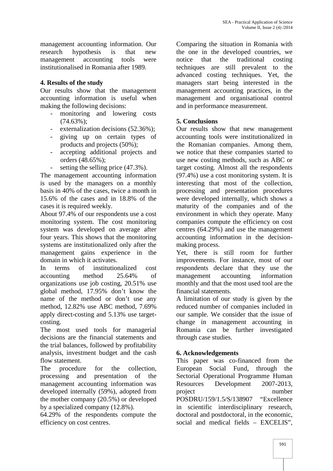management accounting information. Our research hypothesis is that new management accounting tools were notice institutionalised in Romania after 1989.

# **4. Results of the study**

Our results show that the management accounting information is useful when making the following decisions:

- monitoring and lowering costs (74.63%);
- externalization decisions (52.36%);
- giving up on certain types of products and projects (50%);
- accepting additional projects and orders (48.65%);
- setting the selling price  $(47.3\%)$ .

The management accounting information is used by the managers on a monthly basis in 40% of the cases, twice a month in 15.6% of the cases and in 18.8% of the cases it is required weekly.

About 97.4% of our respondents use a cost monitoring system. The cost monitoring system was developed on average after four years. This shows that the monitoring systems are institutionalized only after the management gains experience in the domain in which it activates.

In terms of institutionalized cost accounting method 25.64% of organizations use job costing, 20.51% use global method, 17.95% don't know the name of the method or don't use any method, 12.82% use ABC method, 7.69% apply direct-costing and 5.13% use target costing.

The most used tools for managerial decisions are the financial statements and the trial balances, followed by profitability analysis, investment budget and the cash flow statement.

The procedure for the collection, processing and presentation of the management accounting information was developed internally (59%), adopted from the mother company (20.5%) or developed by a specialized company (12.8%).

64.29% of the respondents compute the efficiency on cost centres.

Comparing the situation in Romania with the one in the developed countries, we that the traditional costing techniques are still prevalent to the advanced costing techniques. Yet, the managers start being interested in the management accounting practices, in the management and organisational control and in performance measurement.

# **5. Conclusions**

Our results show that new management accounting tools were institutionalized in the Romanian companies. Among them, we notice that these companies started to use new costing methods, such as ABC or target costing. Almost all the respondents (97.4%) use a cost monitoring system. It is interesting that most of the collection, processing and presentation procedures were developed internally, which shows a maturity of the companies and of the environment in which they operate. Many companies compute the efficiency on cost centres (64.29%) and use the management accounting information in the decision making process.

Yet, there is still room for further improvements. For instance, most of our respondents declare that they use the management accounting information monthly and that the most used tool are the financial statements.

A limitation of our study is given by the reduced number of companies included in our sample. We consider that the issue of change in management accounting in Romania can be further investigated through case studies.

# **6. Acknowledgements**

This paper was co-financed from the European Social Fund, through the Sectorial Operational Programme Human Resources Development 2007-2013, project number POSDRU/159/1.5/S/138907 "Excellence in scientific interdisciplinary research, doctoral and postdoctoral, in the economic, social and medical fields – EXCELIS",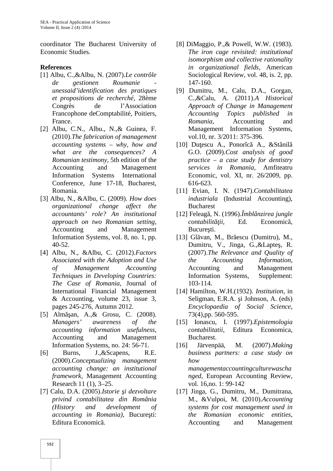coordinator The Bucharest University of Economic Studies.

### **References**

- [1] Albu, C.,&Albu, N. (2007).*Le contrôle de gestionen Roumanie unessaid'identification des pratiques et propositions de recherché*, 28ème Congrès de l'Association Francophone deComptabilité, Poitiers, France.
- [2] Albu, C.N., Albu., N.,& Guinea, F. (2010).*The fabrication of management accounting systems – why, how and what are the consequences? A Romanian testimony*, 5th edition of the Accounting and Management Information Systems International Conference, June 17-18, Bucharest, Romania.
- [3] Albu, N., &Albu, C. (2009). *How does organizational change affect the accountants' role? An institutional approach on two Romanian setting*, Accounting and Management Information Systems, vol. 8, no. 1, pp. 40-52.
- [4] Albu, N., &Albu, C. (2012).*Factors Associated with the Adoption and Use of Management Accounting Techniques in Developing Countries: The Case of Romania*, Journal of International Financial Management & Accounting, volume 23, issue 3, pages 245-276, Autumn 2012.
- [5] Alm an, A., & Grosu, C. (2008). *Managers' awareness of the accounting information usefulness*, Accounting and Management Information Systems, no. 24: 56-71.
- [6] Burns, J.,&Scapens, R.E. (2000).*Conceptualizing management accounting change: an institutional framework*, Management Accounting Research 11 (1), 3–25.
- [7] Calu, D.A. (2005).*Istorie i dezvoltare privind contabilitatea din România (History and development of accounting in Romania*), Bucure ti: Editura Economic<sub>a</sub>.
- [8] DiMaggio, P.,& Powell, W.W. (1983). *The iron cage revisited: institutional isomorphism and collective rationality in organizational fields*, American Sociological Review, vol. 48, is. 2, pp. 147-160.
- [9] Dumitru, M., Calu, D.A., Gorgan, C.,&Calu, A. (2011).*A Historical Approach of Change in Management Accounting Topics published in Romania*, Accounting and Management Information Systems, vol.10, nr. 3/2011: 375-396.
- $[10]$  Du escu A., Ponorîc A., &St nil G.O. (2009).*Cost analysis of good practice – a case study for dentistry services in Romania*, Amfiteatru Economic, vol. XI, nr. 26/2009, pp. 616-623.
- [11] Evian, I. N. (1947).*Contabilitatea industriala* (Industrial Accounting), Bucharest
- [12] Feleagă, N. (1996).*Îmblânzirea jungle contabilit ii*, Ed. Economic, Bucure ti.
- $[13]$  Gl van, M., Br escu (Dumitru), M., Dumitru, V., Jinga, G., & Lapte, R. (2007).*The Relevance and Quality of the Accounting Information*, Accounting and Management Information Systems, Supplement: 103-114.
- [14] Hamilton, W.H.(1932). *Institution*, in Seligman, E.R.A. *i* Johnson, A. (eds) *Encyclopaedia of Social Science*, 73(4),pp. 560-595.
- [15] Ionascu, I. (1997).*Epistemologia contabilitatii*, Editura Economica, Bucharest.
- [16] Järvenpää, M. (2007).*Making business partners: a case study on how managementaccountingculturewascha nged*, European Accounting Review, vol. 16,no. 1: 99-142
- [17] Jinga, G., Dumitru, M., Dumitrana, M., &Vulpoi, M. (2010).*Accounting systems for cost management used in the Romanian economic entities*, Accounting and Management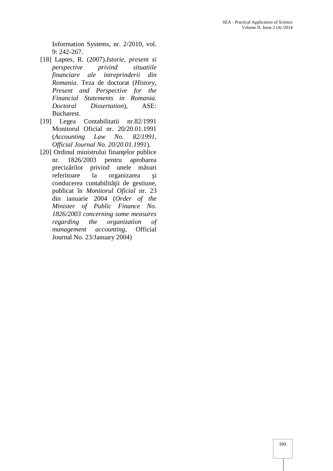Information Systems, nr. 2/2010, vol. 9: 242-267.

- [18] Laptes, R. (2007).*Istorie, present si perspective privind situatiile financiare ale intreprinderii din Romania*. Teza de doctorat (*History, Present and Perspective for the Financial Statements in Romania. Doctoral Dissertation*), ASE: Bucharest.
- [19] Legea Contabilitatii nr.82/1991 Monitorul Oficial nr. 20/20.01.1991 (*Accounting Law No. 82/1991, Official Journal No. 20/20.01.1991*).
- [20] Ordinul ministrului finan elor publice nr. 1826/2003 pentru aprobarea preciz rilor privind unele m suri referitoare la organizarea i conducerea contabilit ii de gestiune, publicat în *Monitorul Oficial* nr. 23 din ianuarie 2004 (*Order of the Minister of Public Finance No. 1826/2003 concerning some measures regarding the organization of management accounting*, Official Journal No. 23/January 2004)